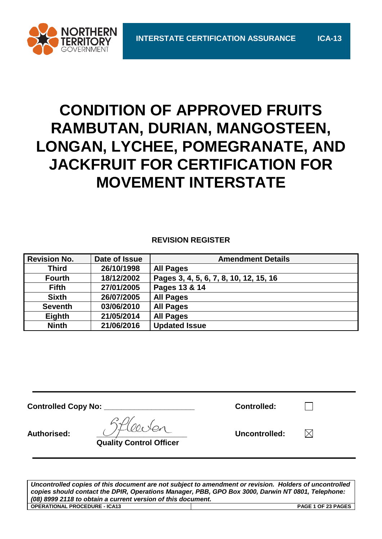

# **CONDITION OF APPROVED FRUITS RAMBUTAN, DURIAN, MANGOSTEEN, LONGAN, LYCHEE, POMEGRANATE, AND JACKFRUIT FOR CERTIFICATION FOR MOVEMENT INTERSTATE**

# **REVISION REGISTER**

| <b>Revision No.</b> | Date of Issue | <b>Amendment Details</b>               |
|---------------------|---------------|----------------------------------------|
| <b>Third</b>        | 26/10/1998    | <b>All Pages</b>                       |
| <b>Fourth</b>       | 18/12/2002    | Pages 3, 4, 5, 6, 7, 8, 10, 12, 15, 16 |
| <b>Fifth</b>        | 27/01/2005    | Pages 13 & 14                          |
| <b>Sixth</b>        | 26/07/2005    | <b>All Pages</b>                       |
| <b>Seventh</b>      | 03/06/2010    | <b>All Pages</b>                       |
| Eighth              | 21/05/2014    | <b>All Pages</b>                       |
| <b>Ninth</b>        | 21/06/2016    | <b>Updated Issue</b>                   |

**Controlled Copy No: \_\_\_\_\_\_\_\_\_\_\_\_\_\_\_\_\_\_\_\_\_ Controlled:**

Authorised:  $\bigcup \mathcal{F}$  and  $\bigcup$  **and**  $\bigcup$  **Uncontrolled:**  $\bigcup$ 

**Quality Control Officer**

 $\boxtimes$ 

 $\Box$ 

*Uncontrolled copies of this document are not subject to amendment or revision. Holders of uncontrolled copies should contact the DPIR, Operations Manager, PBB, GPO Box 3000, Darwin NT 0801, Telephone: (08) 8999 2118 to obtain a current version of this document.* **OPERATIONAL PROCEDURE - ICA13 PAGE 1 OF 23 PAGES**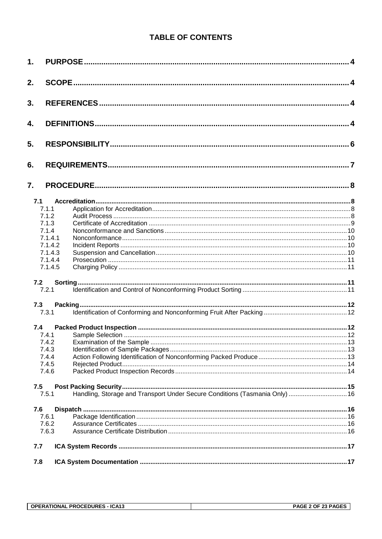# **TABLE OF CONTENTS**

| 1.                 |                                                                             |  |
|--------------------|-----------------------------------------------------------------------------|--|
| 2.                 |                                                                             |  |
| 3.                 |                                                                             |  |
| 4.                 |                                                                             |  |
| 5.                 |                                                                             |  |
| 6.                 |                                                                             |  |
| 7.                 |                                                                             |  |
| 7.1                |                                                                             |  |
| 7.1.1              |                                                                             |  |
| 7.1.2              |                                                                             |  |
| 7.1.3              |                                                                             |  |
| 7.1.4              |                                                                             |  |
| 7.1.4.1<br>7.1.4.2 |                                                                             |  |
| 7.1.4.3            |                                                                             |  |
| 7.1.4.4            |                                                                             |  |
| 7.1.4.5            |                                                                             |  |
| 7.2                |                                                                             |  |
| 7.2.1              |                                                                             |  |
| 7.3                |                                                                             |  |
| 7.3.1              |                                                                             |  |
| 7.4                |                                                                             |  |
| 7.4.1              |                                                                             |  |
| 7.4.2              |                                                                             |  |
| 7.4.3              |                                                                             |  |
| 7.4.4              |                                                                             |  |
| 7.4.5              |                                                                             |  |
| 7.4.6              |                                                                             |  |
| 7.5                |                                                                             |  |
| 7.5.1              | Handling, Storage and Transport Under Secure Conditions (Tasmania Only)  16 |  |
| 7.6                |                                                                             |  |
| 7.6.1              |                                                                             |  |
| 7.6.2              |                                                                             |  |
| 7.6.3              |                                                                             |  |
| 7.7                |                                                                             |  |
| 7.8                |                                                                             |  |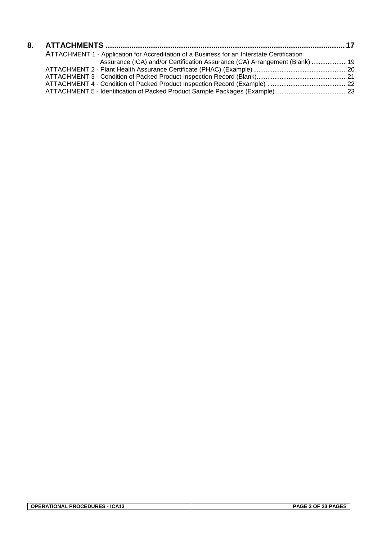| ATTACHMENT 1 - Application for Accreditation of a Business for an Interstate Certification |  |
|--------------------------------------------------------------------------------------------|--|
| Assurance (ICA) and/or Certification Assurance (CA) Arrangement (Blank)  19                |  |
|                                                                                            |  |
|                                                                                            |  |
|                                                                                            |  |
|                                                                                            |  |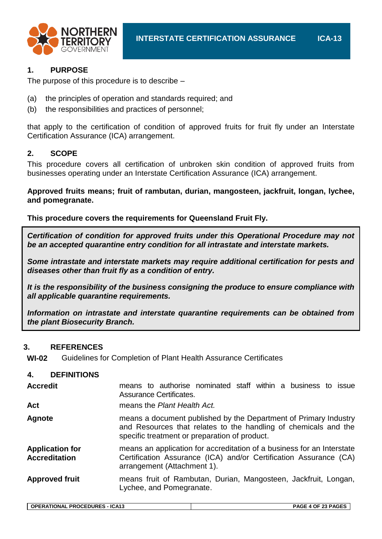



# **1. PURPOSE**

The purpose of this procedure is to describe –

- (a) the principles of operation and standards required; and
- (b) the responsibilities and practices of personnel;

that apply to the certification of condition of approved fruits for fruit fly under an Interstate Certification Assurance (ICA) arrangement.

# **2. SCOPE**

This procedure covers all certification of unbroken skin condition of approved fruits from businesses operating under an Interstate Certification Assurance (ICA) arrangement.

**Approved fruits means; fruit of rambutan, durian, mangosteen, jackfruit, longan, lychee, and pomegranate.**

**This procedure covers the requirements for Queensland Fruit Fly.**

*Certification of condition for approved fruits under this Operational Procedure may not be an accepted quarantine entry condition for all intrastate and interstate markets.*

*Some intrastate and interstate markets may require additional certification for pests and diseases other than fruit fly as a condition of entry.*

*It is the responsibility of the business consigning the produce to ensure compliance with all applicable quarantine requirements.*

*Information on intrastate and interstate quarantine requirements can be obtained from the plant Biosecurity Branch.*

# **3. REFERENCES**

**WI-02** Guidelines for Completion of Plant Health Assurance Certificates

# **4. DEFINITIONS**

| <b>Accredit</b>                                | means to authorise nominated staff within a business to issue<br>Assurance Certificates.                                                                                             |  |  |  |  |  |
|------------------------------------------------|--------------------------------------------------------------------------------------------------------------------------------------------------------------------------------------|--|--|--|--|--|
| Act                                            | means the Plant Health Act.                                                                                                                                                          |  |  |  |  |  |
| <b>Agnote</b>                                  | means a document published by the Department of Primary Industry<br>and Resources that relates to the handling of chemicals and the<br>specific treatment or preparation of product. |  |  |  |  |  |
| <b>Application for</b><br><b>Accreditation</b> | means an application for accreditation of a business for an Interstate<br>Certification Assurance (ICA) and/or Certification Assurance (CA)<br>arrangement (Attachment 1).           |  |  |  |  |  |
| <b>Approved fruit</b>                          | means fruit of Rambutan, Durian, Mangosteen, Jackfruit, Longan,<br>Lychee, and Pomegranate.                                                                                          |  |  |  |  |  |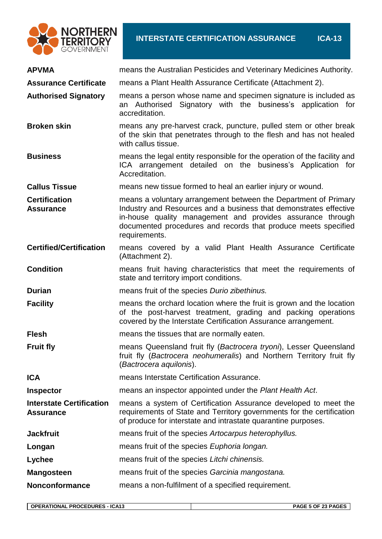

| <b>APVMA</b>                                        | means the Australian Pesticides and Veterinary Medicines Authority.                                                                                                                                                                                                                   |
|-----------------------------------------------------|---------------------------------------------------------------------------------------------------------------------------------------------------------------------------------------------------------------------------------------------------------------------------------------|
| <b>Assurance Certificate</b>                        | means a Plant Health Assurance Certificate (Attachment 2).                                                                                                                                                                                                                            |
| <b>Authorised Signatory</b>                         | means a person whose name and specimen signature is included as<br>an Authorised Signatory with the business's application for<br>accreditation.                                                                                                                                      |
| <b>Broken skin</b>                                  | means any pre-harvest crack, puncture, pulled stem or other break<br>of the skin that penetrates through to the flesh and has not healed<br>with callus tissue.                                                                                                                       |
| <b>Business</b>                                     | means the legal entity responsible for the operation of the facility and<br>ICA arrangement detailed on the business's Application for<br>Accreditation.                                                                                                                              |
| <b>Callus Tissue</b>                                | means new tissue formed to heal an earlier injury or wound.                                                                                                                                                                                                                           |
| <b>Certification</b><br><b>Assurance</b>            | means a voluntary arrangement between the Department of Primary<br>Industry and Resources and a business that demonstrates effective<br>in-house quality management and provides assurance through<br>documented procedures and records that produce meets specified<br>requirements. |
| <b>Certified/Certification</b>                      | means covered by a valid Plant Health Assurance Certificate<br>(Attachment 2).                                                                                                                                                                                                        |
| <b>Condition</b>                                    | means fruit having characteristics that meet the requirements of<br>state and territory import conditions.                                                                                                                                                                            |
| <b>Durian</b>                                       | means fruit of the species Durio zibethinus.                                                                                                                                                                                                                                          |
| <b>Facility</b>                                     | means the orchard location where the fruit is grown and the location<br>of the post-harvest treatment, grading and packing operations<br>covered by the Interstate Certification Assurance arrangement.                                                                               |
| <b>Flesh</b>                                        | means the tissues that are normally eaten.                                                                                                                                                                                                                                            |
| <b>Fruit fly</b>                                    | means Queensland fruit fly (Bactrocera tryoni), Lesser Queensland<br>fruit fly (Bactrocera neohumeralis) and Northern Territory fruit fly<br>(Bactrocera aquilonis).                                                                                                                  |
| <b>ICA</b>                                          | means Interstate Certification Assurance.                                                                                                                                                                                                                                             |
| <b>Inspector</b>                                    | means an inspector appointed under the Plant Health Act.                                                                                                                                                                                                                              |
| <b>Interstate Certification</b><br><b>Assurance</b> | means a system of Certification Assurance developed to meet the<br>requirements of State and Territory governments for the certification<br>of produce for interstate and intrastate quarantine purposes.                                                                             |
| <b>Jackfruit</b>                                    | means fruit of the species Artocarpus heterophyllus.                                                                                                                                                                                                                                  |
| Longan                                              | means fruit of the species Euphoria longan.                                                                                                                                                                                                                                           |
| Lychee                                              | means fruit of the species Litchi chinensis.                                                                                                                                                                                                                                          |
| <b>Mangosteen</b>                                   | means fruit of the species Garcinia mangostana.                                                                                                                                                                                                                                       |
| <b>Nonconformance</b>                               | means a non-fulfilment of a specified requirement.                                                                                                                                                                                                                                    |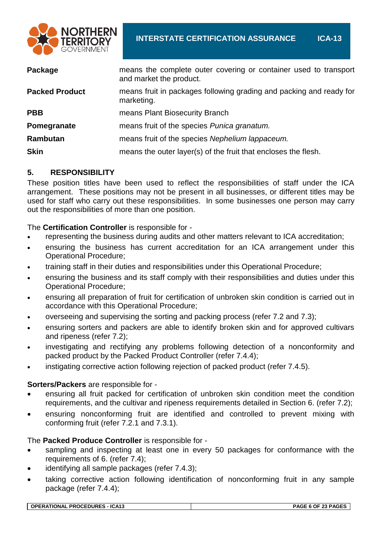

| means the complete outer covering or container used to transport<br>and market the product. |
|---------------------------------------------------------------------------------------------|
| means fruit in packages following grading and packing and ready for<br>marketing.           |
| means Plant Biosecurity Branch                                                              |
| means fruit of the species Punica granatum.                                                 |
| means fruit of the species Nephelium lappaceum.                                             |
| means the outer layer(s) of the fruit that encloses the flesh.                              |
|                                                                                             |

# **5. RESPONSIBILITY**

These position titles have been used to reflect the responsibilities of staff under the ICA arrangement. These positions may not be present in all businesses, or different titles may be used for staff who carry out these responsibilities. In some businesses one person may carry out the responsibilities of more than one position.

# The **Certification Controller** is responsible for -

- representing the business during audits and other matters relevant to ICA accreditation;
- ensuring the business has current accreditation for an ICA arrangement under this Operational Procedure;
- training staff in their duties and responsibilities under this Operational Procedure;
- ensuring the business and its staff comply with their responsibilities and duties under this Operational Procedure;
- ensuring all preparation of fruit for certification of unbroken skin condition is carried out in accordance with this Operational Procedure;
- overseeing and supervising the sorting and packing process (refer 7.2 and 7.3);
- ensuring sorters and packers are able to identify broken skin and for approved cultivars and ripeness (refer 7.2);
- investigating and rectifying any problems following detection of a nonconformity and packed product by the Packed Product Controller (refer 7.4.4);
- instigating corrective action following rejection of packed product (refer 7.4.5).

# **Sorters/Packers** are responsible for -

- ensuring all fruit packed for certification of unbroken skin condition meet the condition requirements, and the cultivar and ripeness requirements detailed in Section 6. (refer 7.2);
- ensuring nonconforming fruit are identified and controlled to prevent mixing with conforming fruit (refer 7.2.1 and 7.3.1).

# The **Packed Produce Controller** is responsible for -

- sampling and inspecting at least one in every 50 packages for conformance with the requirements of 6. (refer 7.4);
- identifying all sample packages (refer 7.4.3);
- taking corrective action following identification of nonconforming fruit in any sample package (refer 7.4.4);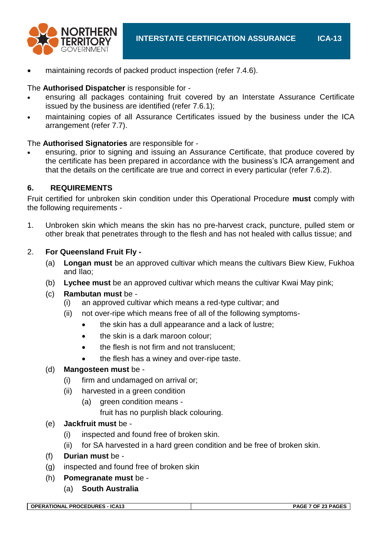

maintaining records of packed product inspection (refer 7.4.6).

# The **Authorised Dispatcher** is responsible for -

- ensuring all packages containing fruit covered by an Interstate Assurance Certificate issued by the business are identified (refer 7.6.1);
- maintaining copies of all Assurance Certificates issued by the business under the ICA arrangement (refer 7.7).

# The **Authorised Signatories** are responsible for -

 ensuring, prior to signing and issuing an Assurance Certificate, that produce covered by the certificate has been prepared in accordance with the business's ICA arrangement and that the details on the certificate are true and correct in every particular (refer 7.6.2).

# **6. REQUIREMENTS**

Fruit certified for unbroken skin condition under this Operational Procedure **must** comply with the following requirements -

1. Unbroken skin which means the skin has no pre-harvest crack, puncture, pulled stem or other break that penetrates through to the flesh and has not healed with callus tissue; and

# 2. **For Queensland Fruit Fly -**

- (a) **Longan must** be an approved cultivar which means the cultivars Biew Kiew, Fukhoa and Ilao;
- (b) **Lychee must** be an approved cultivar which means the cultivar Kwai May pink;

# (c) **Rambutan must** be -

- (i) an approved cultivar which means a red-type cultivar; and
- (ii) not over-ripe which means free of all of the following symptoms-
	- the skin has a dull appearance and a lack of lustre;
	- the skin is a dark maroon colour;
	- the flesh is not firm and not translucent;
	- the flesh has a winey and over-ripe taste.

# (d) **Mangosteen must** be -

- (i) firm and undamaged on arrival or;
- (ii) harvested in a green condition
	- (a) green condition means
		- fruit has no purplish black colouring.

# (e) **Jackfruit must** be -

- (i) inspected and found free of broken skin.
- (ii) for SA harvested in a hard green condition and be free of broken skin.
- (f) **Durian must** be -
- (g) inspected and found free of broken skin
- (h) **Pomegranate must** be
	- (a) **South Australia**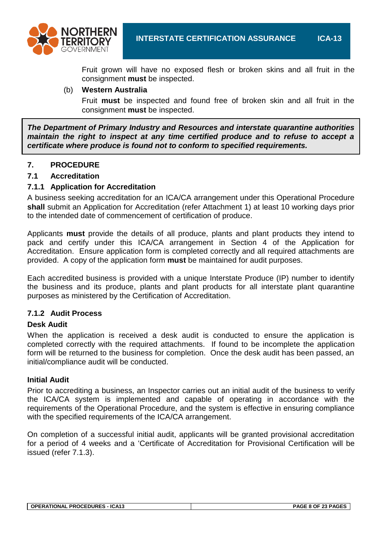

Fruit grown will have no exposed flesh or broken skins and all fruit in the consignment **must** be inspected.

## (b) **Western Australia**

Fruit **must** be inspected and found free of broken skin and all fruit in the consignment **must** be inspected.

*The Department of Primary Industry and Resources and interstate quarantine authorities maintain the right to inspect at any time certified produce and to refuse to accept a certificate where produce is found not to conform to specified requirements.*

# **7. PROCEDURE**

## **7.1 Accreditation**

## **7.1.1 Application for Accreditation**

A business seeking accreditation for an ICA/CA arrangement under this Operational Procedure **shall** submit an Application for Accreditation (refer Attachment 1) at least 10 working days prior to the intended date of commencement of certification of produce.

Applicants **must** provide the details of all produce, plants and plant products they intend to pack and certify under this ICA/CA arrangement in Section 4 of the Application for Accreditation. Ensure application form is completed correctly and all required attachments are provided. A copy of the application form **must** be maintained for audit purposes.

Each accredited business is provided with a unique Interstate Produce (IP) number to identify the business and its produce, plants and plant products for all interstate plant quarantine purposes as ministered by the Certification of Accreditation.

#### **7.1.2 Audit Process**

#### **Desk Audit**

When the application is received a desk audit is conducted to ensure the application is completed correctly with the required attachments. If found to be incomplete the application form will be returned to the business for completion. Once the desk audit has been passed, an initial/compliance audit will be conducted.

#### **Initial Audit**

Prior to accrediting a business, an Inspector carries out an initial audit of the business to verify the ICA/CA system is implemented and capable of operating in accordance with the requirements of the Operational Procedure, and the system is effective in ensuring compliance with the specified requirements of the ICA/CA arrangement.

On completion of a successful initial audit, applicants will be granted provisional accreditation for a period of 4 weeks and a 'Certificate of Accreditation for Provisional Certification will be issued (refer 7.1.3).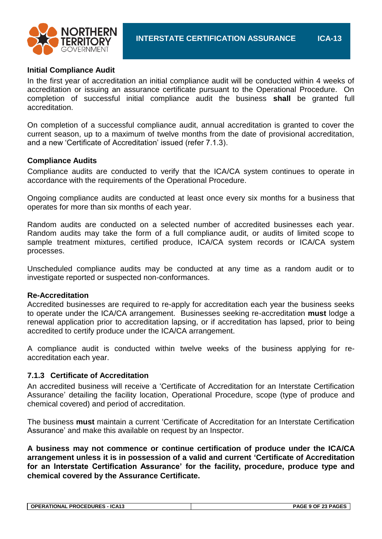



## **Initial Compliance Audit**

In the first year of accreditation an initial compliance audit will be conducted within 4 weeks of accreditation or issuing an assurance certificate pursuant to the Operational Procedure. On completion of successful initial compliance audit the business **shall** be granted full accreditation.

On completion of a successful compliance audit, annual accreditation is granted to cover the current season, up to a maximum of twelve months from the date of provisional accreditation, and a new 'Certificate of Accreditation' issued (refer 7.1.3).

## **Compliance Audits**

Compliance audits are conducted to verify that the ICA/CA system continues to operate in accordance with the requirements of the Operational Procedure.

Ongoing compliance audits are conducted at least once every six months for a business that operates for more than six months of each year.

Random audits are conducted on a selected number of accredited businesses each year. Random audits may take the form of a full compliance audit, or audits of limited scope to sample treatment mixtures, certified produce, ICA/CA system records or ICA/CA system processes.

Unscheduled compliance audits may be conducted at any time as a random audit or to investigate reported or suspected non-conformances.

#### **Re-Accreditation**

Accredited businesses are required to re-apply for accreditation each year the business seeks to operate under the ICA/CA arrangement. Businesses seeking re-accreditation **must** lodge a renewal application prior to accreditation lapsing, or if accreditation has lapsed, prior to being accredited to certify produce under the ICA/CA arrangement.

A compliance audit is conducted within twelve weeks of the business applying for reaccreditation each year.

# **7.1.3 Certificate of Accreditation**

An accredited business will receive a 'Certificate of Accreditation for an Interstate Certification Assurance' detailing the facility location, Operational Procedure, scope (type of produce and chemical covered) and period of accreditation.

The business **must** maintain a current 'Certificate of Accreditation for an Interstate Certification Assurance' and make this available on request by an Inspector.

**A business may not commence or continue certification of produce under the ICA/CA arrangement unless it is in possession of a valid and current 'Certificate of Accreditation for an Interstate Certification Assurance' for the facility, procedure, produce type and chemical covered by the Assurance Certificate.**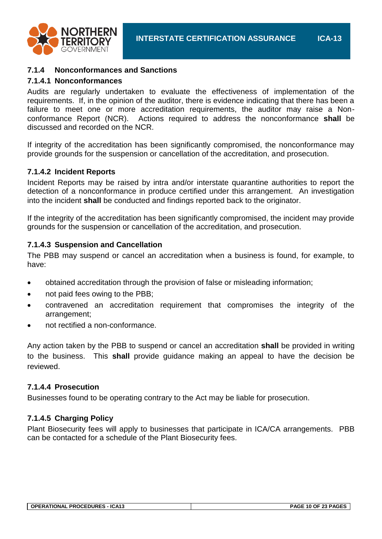

## **7.1.4 Nonconformances and Sanctions**

## **7.1.4.1 Nonconformances**

Audits are regularly undertaken to evaluate the effectiveness of implementation of the requirements. If, in the opinion of the auditor, there is evidence indicating that there has been a failure to meet one or more accreditation requirements, the auditor may raise a Nonconformance Report (NCR). Actions required to address the nonconformance **shall** be discussed and recorded on the NCR.

If integrity of the accreditation has been significantly compromised, the nonconformance may provide grounds for the suspension or cancellation of the accreditation, and prosecution.

## **7.1.4.2 Incident Reports**

Incident Reports may be raised by intra and/or interstate quarantine authorities to report the detection of a nonconformance in produce certified under this arrangement. An investigation into the incident **shall** be conducted and findings reported back to the originator.

If the integrity of the accreditation has been significantly compromised, the incident may provide grounds for the suspension or cancellation of the accreditation, and prosecution.

## **7.1.4.3 Suspension and Cancellation**

The PBB may suspend or cancel an accreditation when a business is found, for example, to have:

- obtained accreditation through the provision of false or misleading information;
- not paid fees owing to the PBB;
- contravened an accreditation requirement that compromises the integrity of the arrangement;
- not rectified a non-conformance.

Any action taken by the PBB to suspend or cancel an accreditation **shall** be provided in writing to the business. This **shall** provide guidance making an appeal to have the decision be reviewed.

#### **7.1.4.4 Prosecution**

Businesses found to be operating contrary to the Act may be liable for prosecution.

# **7.1.4.5 Charging Policy**

Plant Biosecurity fees will apply to businesses that participate in ICA/CA arrangements. PBB can be contacted for a schedule of the Plant Biosecurity fees.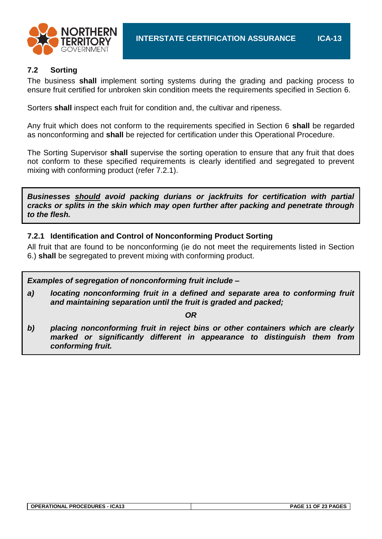

# **7.2 Sorting**

The business **shall** implement sorting systems during the grading and packing process to ensure fruit certified for unbroken skin condition meets the requirements specified in Section 6.

Sorters **shall** inspect each fruit for condition and, the cultivar and ripeness.

Any fruit which does not conform to the requirements specified in Section 6 **shall** be regarded as nonconforming and **shall** be rejected for certification under this Operational Procedure.

The Sorting Supervisor **shall** supervise the sorting operation to ensure that any fruit that does not conform to these specified requirements is clearly identified and segregated to prevent mixing with conforming product (refer 7.2.1).

*Businesses should avoid packing durians or jackfruits for certification with partial cracks or splits in the skin which may open further after packing and penetrate through to the flesh.*

# **7.2.1 Identification and Control of Nonconforming Product Sorting**

All fruit that are found to be nonconforming (ie do not meet the requirements listed in Section 6.) **shall** be segregated to prevent mixing with conforming product.

*Examples of segregation of nonconforming fruit include –*

*a) locating nonconforming fruit in a defined and separate area to conforming fruit and maintaining separation until the fruit is graded and packed;*

*OR*

*b) placing nonconforming fruit in reject bins or other containers which are clearly marked or significantly different in appearance to distinguish them from conforming fruit.*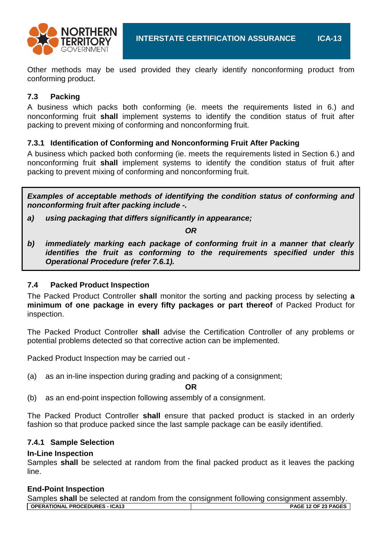

Other methods may be used provided they clearly identify nonconforming product from conforming product.

# **7.3 Packing**

A business which packs both conforming (ie. meets the requirements listed in 6.) and nonconforming fruit **shall** implement systems to identify the condition status of fruit after packing to prevent mixing of conforming and nonconforming fruit.

# **7.3.1 Identification of Conforming and Nonconforming Fruit After Packing**

A business which packed both conforming (ie. meets the requirements listed in Section 6.) and nonconforming fruit **shall** implement systems to identify the condition status of fruit after packing to prevent mixing of conforming and nonconforming fruit.

*Examples of acceptable methods of identifying the condition status of conforming and nonconforming fruit after packing include -.*

*a) using packaging that differs significantly in appearance;*

*OR*

*b) immediately marking each package of conforming fruit in a manner that clearly identifies the fruit as conforming to the requirements specified under this Operational Procedure (refer 7.6.1).*

# **7.4 Packed Product Inspection**

The Packed Product Controller **shall** monitor the sorting and packing process by selecting **a minimum of one package in every fifty packages or part thereof** of Packed Product for inspection.

The Packed Product Controller **shall** advise the Certification Controller of any problems or potential problems detected so that corrective action can be implemented.

Packed Product Inspection may be carried out -

(a) as an in-line inspection during grading and packing of a consignment;

**OR**

(b) as an end-point inspection following assembly of a consignment.

The Packed Product Controller **shall** ensure that packed product is stacked in an orderly fashion so that produce packed since the last sample package can be easily identified.

# **7.4.1 Sample Selection**

# **In-Line Inspection**

Samples **shall** be selected at random from the final packed product as it leaves the packing line.

# **End-Point Inspection**

| Samples shall be selected at random from the consignment following consignment assembly. |                            |
|------------------------------------------------------------------------------------------|----------------------------|
| OPERATIONAL PROCEDURES - ICA13                                                           | <b>PAGE 12 OF 23 PAGES</b> |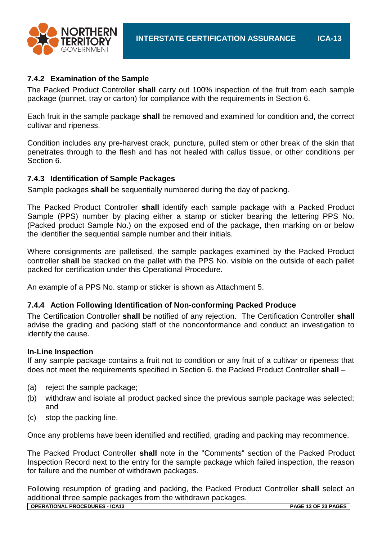

# **7.4.2 Examination of the Sample**

The Packed Product Controller **shall** carry out 100% inspection of the fruit from each sample package (punnet, tray or carton) for compliance with the requirements in Section 6.

Each fruit in the sample package **shall** be removed and examined for condition and, the correct cultivar and ripeness.

Condition includes any pre-harvest crack, puncture, pulled stem or other break of the skin that penetrates through to the flesh and has not healed with callus tissue, or other conditions per Section 6.

# **7.4.3 Identification of Sample Packages**

Sample packages **shall** be sequentially numbered during the day of packing.

The Packed Product Controller **shall** identify each sample package with a Packed Product Sample (PPS) number by placing either a stamp or sticker bearing the lettering PPS No. (Packed product Sample No.) on the exposed end of the package, then marking on or below the identifier the sequential sample number and their initials.

Where consignments are palletised, the sample packages examined by the Packed Product controller **shall** be stacked on the pallet with the PPS No. visible on the outside of each pallet packed for certification under this Operational Procedure.

An example of a PPS No. stamp or sticker is shown as Attachment 5.

# **7.4.4 Action Following Identification of Non-conforming Packed Produce**

The Certification Controller **shall** be notified of any rejection. The Certification Controller **shall** advise the grading and packing staff of the nonconformance and conduct an investigation to identify the cause.

# **In-Line Inspection**

If any sample package contains a fruit not to condition or any fruit of a cultivar or ripeness that does not meet the requirements specified in Section 6. the Packed Product Controller **shall** –

- (a) reject the sample package;
- (b) withdraw and isolate all product packed since the previous sample package was selected; and
- (c) stop the packing line.

Once any problems have been identified and rectified, grading and packing may recommence.

The Packed Product Controller **shall** note in the "Comments" section of the Packed Product Inspection Record next to the entry for the sample package which failed inspection, the reason for failure and the number of withdrawn packages.

Following resumption of grading and packing, the Packed Product Controller **shall** select an additional three sample packages from the withdrawn packages.

| <b>OPERATIONAL PROCEDURES - ICA13</b> |  |
|---------------------------------------|--|
|                                       |  |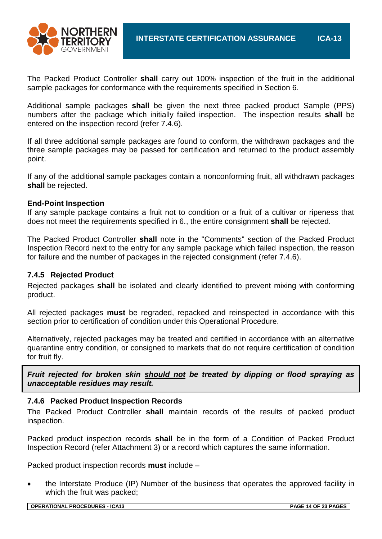

The Packed Product Controller **shall** carry out 100% inspection of the fruit in the additional sample packages for conformance with the requirements specified in Section 6.

Additional sample packages **shall** be given the next three packed product Sample (PPS) numbers after the package which initially failed inspection. The inspection results **shall** be entered on the inspection record (refer 7.4.6).

If all three additional sample packages are found to conform, the withdrawn packages and the three sample packages may be passed for certification and returned to the product assembly point.

If any of the additional sample packages contain a nonconforming fruit, all withdrawn packages **shall** be rejected.

#### **End-Point Inspection**

If any sample package contains a fruit not to condition or a fruit of a cultivar or ripeness that does not meet the requirements specified in 6., the entire consignment **shall** be rejected.

The Packed Product Controller **shall** note in the "Comments" section of the Packed Product Inspection Record next to the entry for any sample package which failed inspection, the reason for failure and the number of packages in the rejected consignment (refer 7.4.6).

#### **7.4.5 Rejected Product**

Rejected packages **shall** be isolated and clearly identified to prevent mixing with conforming product.

All rejected packages **must** be regraded, repacked and reinspected in accordance with this section prior to certification of condition under this Operational Procedure.

Alternatively, rejected packages may be treated and certified in accordance with an alternative quarantine entry condition, or consigned to markets that do not require certification of condition for fruit fly.

*Fruit rejected for broken skin should not be treated by dipping or flood spraying as unacceptable residues may result.*

#### **7.4.6 Packed Product Inspection Records**

The Packed Product Controller **shall** maintain records of the results of packed product inspection.

Packed product inspection records **shall** be in the form of a Condition of Packed Product Inspection Record (refer Attachment 3) or a record which captures the same information.

Packed product inspection records **must** include –

 the Interstate Produce (IP) Number of the business that operates the approved facility in which the fruit was packed;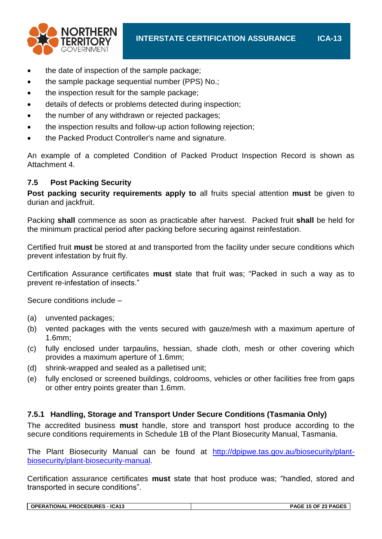

- the date of inspection of the sample package;
- the sample package sequential number (PPS) No.;
- the inspection result for the sample package;
- details of defects or problems detected during inspection;
- the number of any withdrawn or rejected packages;
- the inspection results and follow-up action following rejection;
- the Packed Product Controller's name and signature.

An example of a completed Condition of Packed Product Inspection Record is shown as Attachment 4.

# **7.5 Post Packing Security**

**Post packing security requirements apply to** all fruits special attention **must** be given to durian and jackfruit.

Packing **shall** commence as soon as practicable after harvest. Packed fruit **shall** be held for the minimum practical period after packing before securing against reinfestation.

Certified fruit **must** be stored at and transported from the facility under secure conditions which prevent infestation by fruit fly.

Certification Assurance certificates **must** state that fruit was; "Packed in such a way as to prevent re-infestation of insects."

Secure conditions include –

- (a) unvented packages;
- (b) vented packages with the vents secured with gauze/mesh with a maximum aperture of 1.6mm;
- (c) fully enclosed under tarpaulins, hessian, shade cloth, mesh or other covering which provides a maximum aperture of 1.6mm;
- (d) shrink-wrapped and sealed as a palletised unit;
- (e) fully enclosed or screened buildings, coldrooms, vehicles or other facilities free from gaps or other entry points greater than 1.6mm.

# **7.5.1 Handling, Storage and Transport Under Secure Conditions (Tasmania Only)**

The accredited business **must** handle, store and transport host produce according to the secure conditions requirements in Schedule 1B of the Plant Biosecurity Manual, Tasmania.

The Plant Biosecurity Manual can be found at [http://dpipwe.tas.gov.au/biosecurity/plant](http://dpipwe.tas.gov.au/biosecurity/plant-biosecurity/plant-biosecurity-manual)[biosecurity/plant-biosecurity-manual.](http://dpipwe.tas.gov.au/biosecurity/plant-biosecurity/plant-biosecurity-manual)

Certification assurance certificates **must** state that host produce was; "handled, stored and transported in secure conditions".

| <b>OPERATIONAL PROCEDURES - ICA13</b> | PAGE 15 OF 23 PAGES |
|---------------------------------------|---------------------|
|                                       |                     |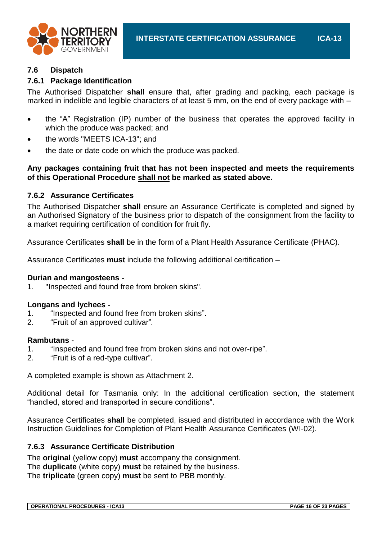

## **7.6 Dispatch**

# **7.6.1 Package Identification**

The Authorised Dispatcher **shall** ensure that, after grading and packing, each package is marked in indelible and legible characters of at least 5 mm, on the end of every package with –

- the "A" Registration (IP) number of the business that operates the approved facility in which the produce was packed; and
- the words "MEETS ICA-13"; and
- the date or date code on which the produce was packed.

## **Any packages containing fruit that has not been inspected and meets the requirements of this Operational Procedure shall not be marked as stated above.**

## **7.6.2 Assurance Certificates**

The Authorised Dispatcher **shall** ensure an Assurance Certificate is completed and signed by an Authorised Signatory of the business prior to dispatch of the consignment from the facility to a market requiring certification of condition for fruit fly.

Assurance Certificates **shall** be in the form of a Plant Health Assurance Certificate (PHAC).

Assurance Certificates **must** include the following additional certification –

#### **Durian and mangosteens -**

1. "Inspected and found free from broken skins".

#### **Longans and lychees -**

- 1. "Inspected and found free from broken skins".
- 2. "Fruit of an approved cultivar"*.*

#### **Rambutans** -

- 1. "Inspected and found free from broken skins and not over-ripe".
- 2. "Fruit is of a red-type cultivar".

A completed example is shown as Attachment 2.

Additional detail for Tasmania only: In the additional certification section, the statement "handled, stored and transported in secure conditions".

Assurance Certificates **shall** be completed, issued and distributed in accordance with the Work Instruction Guidelines for Completion of Plant Health Assurance Certificates (WI-02).

#### **7.6.3 Assurance Certificate Distribution**

The **original** (yellow copy) **must** accompany the consignment. The **duplicate** (white copy) **must** be retained by the business. The **triplicate** (green copy) **must** be sent to PBB monthly.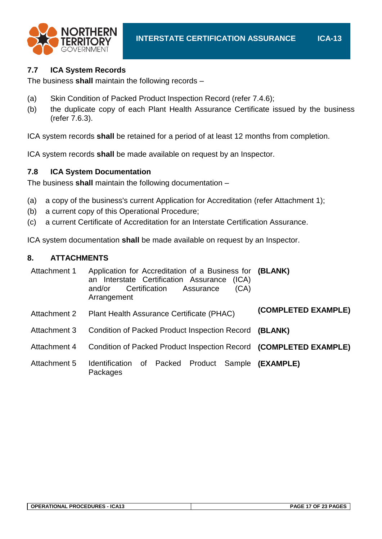

# **7.7 ICA System Records**

The business **shall** maintain the following records –

- (a) Skin Condition of Packed Product Inspection Record (refer 7.4.6);
- (b) the duplicate copy of each Plant Health Assurance Certificate issued by the business (refer 7.6.3).

ICA system records **shall** be retained for a period of at least 12 months from completion.

ICA system records **shall** be made available on request by an Inspector.

# **7.8 ICA System Documentation**

The business **shall** maintain the following documentation –

- (a) a copy of the business's current Application for Accreditation (refer Attachment 1);
- (b) a current copy of this Operational Procedure;
- (c) a current Certificate of Accreditation for an Interstate Certification Assurance.

ICA system documentation **shall** be made available on request by an Inspector.

# **8. ATTACHMENTS**

| Attachment 1 | Application for Accreditation of a Business for (BLANK)<br>an Interstate Certification Assurance<br>(ICA)<br>(CA)<br>Certification<br>and/or<br>Assurance<br>Arrangement |                     |
|--------------|--------------------------------------------------------------------------------------------------------------------------------------------------------------------------|---------------------|
| Attachment 2 | Plant Health Assurance Certificate (PHAC)                                                                                                                                | (COMPLETED EXAMPLE) |
| Attachment 3 | <b>Condition of Packed Product Inspection Record</b>                                                                                                                     | (BLANK)             |
| Attachment 4 | Condition of Packed Product Inspection Record (COMPLETED EXAMPLE)                                                                                                        |                     |
| Attachment 5 | Packed Product<br>Sample<br><b>Identification</b><br>of<br>Packages                                                                                                      | (EXAMPLE)           |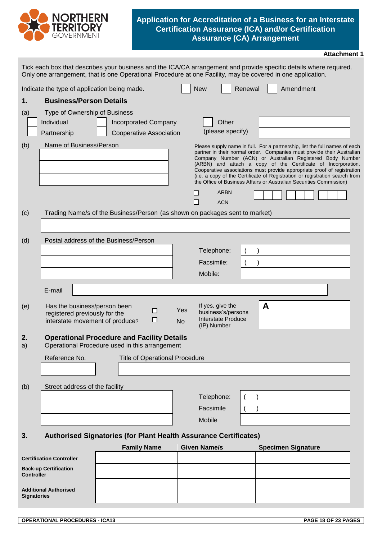

## **Application for Accreditation of a Business for an Interstate Certification Assurance (ICA) and/or Certification Assurance (CA) Arrangement**

|                    |                                                                                                  |  |                    |                                       |                  |                                                                                                                                                                                                                                                                                                                                                                                                                                                                                                                     |         |   |                           | <b>Attachment 1</b> |
|--------------------|--------------------------------------------------------------------------------------------------|--|--------------------|---------------------------------------|------------------|---------------------------------------------------------------------------------------------------------------------------------------------------------------------------------------------------------------------------------------------------------------------------------------------------------------------------------------------------------------------------------------------------------------------------------------------------------------------------------------------------------------------|---------|---|---------------------------|---------------------|
|                    |                                                                                                  |  |                    |                                       |                  | Tick each box that describes your business and the ICA/CA arrangement and provide specific details where required.<br>Only one arrangement, that is one Operational Procedure at one Facility, may be covered in one application.                                                                                                                                                                                                                                                                                   |         |   |                           |                     |
|                    | Indicate the type of application being made.                                                     |  |                    |                                       |                  | <b>New</b>                                                                                                                                                                                                                                                                                                                                                                                                                                                                                                          | Renewal |   | Amendment                 |                     |
| 1.                 | <b>Business/Person Details</b>                                                                   |  |                    |                                       |                  |                                                                                                                                                                                                                                                                                                                                                                                                                                                                                                                     |         |   |                           |                     |
| (a)                | Type of Ownership of Business                                                                    |  |                    |                                       |                  |                                                                                                                                                                                                                                                                                                                                                                                                                                                                                                                     |         |   |                           |                     |
|                    | Individual                                                                                       |  |                    | <b>Incorporated Company</b>           |                  | Other                                                                                                                                                                                                                                                                                                                                                                                                                                                                                                               |         |   |                           |                     |
|                    | Partnership                                                                                      |  |                    | <b>Cooperative Association</b>        |                  | (please specify)                                                                                                                                                                                                                                                                                                                                                                                                                                                                                                    |         |   |                           |                     |
| (b)                | Name of Business/Person                                                                          |  |                    |                                       |                  | Please supply name in full. For a partnership, list the full names of each<br>partner in their normal order. Companies must provide their Australian<br>Company Number (ACN) or Australian Registered Body Number<br>(ARBN) and attach a copy of the Certificate of Incorporation.<br>Cooperative associations must provide appropriate proof of registration<br>(i.e. a copy of the Certificate of Registration or registration search from<br>the Office of Business Affairs or Australian Securities Commission) |         |   |                           |                     |
|                    |                                                                                                  |  |                    |                                       |                  | <b>ARBN</b><br><b>ACN</b><br>$\Box$                                                                                                                                                                                                                                                                                                                                                                                                                                                                                 |         |   |                           |                     |
| (c)                |                                                                                                  |  |                    |                                       |                  | Trading Name/s of the Business/Person (as shown on packages sent to market)                                                                                                                                                                                                                                                                                                                                                                                                                                         |         |   |                           |                     |
|                    |                                                                                                  |  |                    |                                       |                  |                                                                                                                                                                                                                                                                                                                                                                                                                                                                                                                     |         |   |                           |                     |
|                    | Postal address of the Business/Person                                                            |  |                    |                                       |                  |                                                                                                                                                                                                                                                                                                                                                                                                                                                                                                                     |         |   |                           |                     |
| (d)                |                                                                                                  |  |                    |                                       |                  | Telephone:                                                                                                                                                                                                                                                                                                                                                                                                                                                                                                          |         |   |                           |                     |
|                    |                                                                                                  |  |                    |                                       |                  | Facsimile:                                                                                                                                                                                                                                                                                                                                                                                                                                                                                                          |         |   |                           |                     |
|                    |                                                                                                  |  |                    |                                       |                  | Mobile:                                                                                                                                                                                                                                                                                                                                                                                                                                                                                                             |         |   |                           |                     |
|                    |                                                                                                  |  |                    |                                       |                  |                                                                                                                                                                                                                                                                                                                                                                                                                                                                                                                     |         |   |                           |                     |
|                    | E-mail                                                                                           |  |                    |                                       |                  |                                                                                                                                                                                                                                                                                                                                                                                                                                                                                                                     |         |   |                           |                     |
| (e)                | Has the business/person been<br>registered previously for the<br>interstate movement of produce? |  |                    | $\Box$<br>□                           | Yes<br><b>No</b> | If yes, give the<br>business's/persons<br><b>Interstate Produce</b><br>(IP) Number                                                                                                                                                                                                                                                                                                                                                                                                                                  |         | A |                           |                     |
| 2.                 | <b>Operational Procedure and Facility Details</b>                                                |  |                    |                                       |                  |                                                                                                                                                                                                                                                                                                                                                                                                                                                                                                                     |         |   |                           |                     |
| a)                 | Operational Procedure used in this arrangement                                                   |  |                    |                                       |                  |                                                                                                                                                                                                                                                                                                                                                                                                                                                                                                                     |         |   |                           |                     |
|                    | Reference No.                                                                                    |  |                    | <b>Title of Operational Procedure</b> |                  |                                                                                                                                                                                                                                                                                                                                                                                                                                                                                                                     |         |   |                           |                     |
|                    |                                                                                                  |  |                    |                                       |                  |                                                                                                                                                                                                                                                                                                                                                                                                                                                                                                                     |         |   |                           |                     |
| (b)                | Street address of the facility                                                                   |  |                    |                                       |                  |                                                                                                                                                                                                                                                                                                                                                                                                                                                                                                                     |         |   |                           |                     |
|                    |                                                                                                  |  |                    |                                       |                  | Telephone:                                                                                                                                                                                                                                                                                                                                                                                                                                                                                                          |         |   |                           |                     |
|                    |                                                                                                  |  |                    |                                       |                  | Facsimile                                                                                                                                                                                                                                                                                                                                                                                                                                                                                                           |         |   |                           |                     |
|                    |                                                                                                  |  |                    |                                       |                  | Mobile                                                                                                                                                                                                                                                                                                                                                                                                                                                                                                              |         |   |                           |                     |
| 3.                 |                                                                                                  |  |                    |                                       |                  | <b>Authorised Signatories (for Plant Health Assurance Certificates)</b>                                                                                                                                                                                                                                                                                                                                                                                                                                             |         |   |                           |                     |
|                    |                                                                                                  |  | <b>Family Name</b> |                                       |                  | <b>Given Name/s</b>                                                                                                                                                                                                                                                                                                                                                                                                                                                                                                 |         |   | <b>Specimen Signature</b> |                     |
|                    | <b>Certification Controller</b>                                                                  |  |                    |                                       |                  |                                                                                                                                                                                                                                                                                                                                                                                                                                                                                                                     |         |   |                           |                     |
| <b>Controller</b>  | <b>Back-up Certification</b>                                                                     |  |                    |                                       |                  |                                                                                                                                                                                                                                                                                                                                                                                                                                                                                                                     |         |   |                           |                     |
| <b>Signatories</b> | <b>Additional Authorised</b>                                                                     |  |                    |                                       |                  |                                                                                                                                                                                                                                                                                                                                                                                                                                                                                                                     |         |   |                           |                     |

| <b>PROCEDURES - ICA13</b><br><b>OPERATIONAL</b> | : 18 OF 23 PAGES<br><b>PAGE</b> |
|-------------------------------------------------|---------------------------------|
|                                                 |                                 |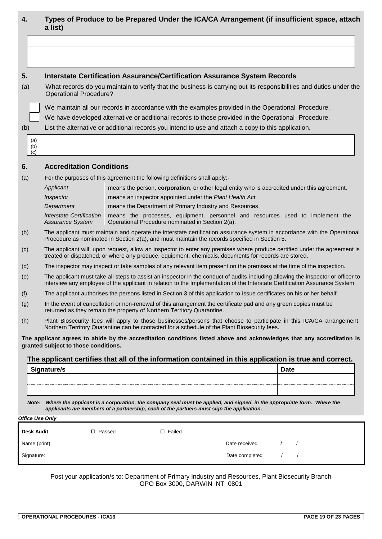| 4.  |                                                                                                     | a list)                                                                                                                                                                                    |                                                                                                                  |                                                         |  |                                                 | Types of Produce to be Prepared Under the ICA/CA Arrangement (if insufficient space, attach                                                                                                                                                                     |  |  |  |  |
|-----|-----------------------------------------------------------------------------------------------------|--------------------------------------------------------------------------------------------------------------------------------------------------------------------------------------------|------------------------------------------------------------------------------------------------------------------|---------------------------------------------------------|--|-------------------------------------------------|-----------------------------------------------------------------------------------------------------------------------------------------------------------------------------------------------------------------------------------------------------------------|--|--|--|--|
|     |                                                                                                     |                                                                                                                                                                                            |                                                                                                                  |                                                         |  |                                                 |                                                                                                                                                                                                                                                                 |  |  |  |  |
|     |                                                                                                     |                                                                                                                                                                                            |                                                                                                                  |                                                         |  |                                                 |                                                                                                                                                                                                                                                                 |  |  |  |  |
|     |                                                                                                     |                                                                                                                                                                                            |                                                                                                                  |                                                         |  |                                                 |                                                                                                                                                                                                                                                                 |  |  |  |  |
| 5.  |                                                                                                     | <b>Interstate Certification Assurance/Certification Assurance System Records</b>                                                                                                           |                                                                                                                  |                                                         |  |                                                 |                                                                                                                                                                                                                                                                 |  |  |  |  |
| (a) |                                                                                                     | What records do you maintain to verify that the business is carrying out its responsibilities and duties under the<br><b>Operational Procedure?</b>                                        |                                                                                                                  |                                                         |  |                                                 |                                                                                                                                                                                                                                                                 |  |  |  |  |
|     | We maintain all our records in accordance with the examples provided in the Operational Procedure.  |                                                                                                                                                                                            |                                                                                                                  |                                                         |  |                                                 |                                                                                                                                                                                                                                                                 |  |  |  |  |
|     | We have developed alternative or additional records to those provided in the Operational Procedure. |                                                                                                                                                                                            |                                                                                                                  |                                                         |  |                                                 |                                                                                                                                                                                                                                                                 |  |  |  |  |
| (b) |                                                                                                     | List the alternative or additional records you intend to use and attach a copy to this application.                                                                                        |                                                                                                                  |                                                         |  |                                                 |                                                                                                                                                                                                                                                                 |  |  |  |  |
|     | (a)<br>(b)<br>(c)                                                                                   |                                                                                                                                                                                            |                                                                                                                  |                                                         |  |                                                 |                                                                                                                                                                                                                                                                 |  |  |  |  |
| 6.  |                                                                                                     | <b>Accreditation Conditions</b>                                                                                                                                                            |                                                                                                                  |                                                         |  |                                                 |                                                                                                                                                                                                                                                                 |  |  |  |  |
| (a) |                                                                                                     | For the purposes of this agreement the following definitions shall apply:-                                                                                                                 |                                                                                                                  |                                                         |  |                                                 |                                                                                                                                                                                                                                                                 |  |  |  |  |
|     |                                                                                                     | Applicant                                                                                                                                                                                  |                                                                                                                  |                                                         |  |                                                 | means the person, corporation, or other legal entity who is accredited under this agreement.                                                                                                                                                                    |  |  |  |  |
|     |                                                                                                     | Inspector                                                                                                                                                                                  |                                                                                                                  | means an inspector appointed under the Plant Health Act |  |                                                 |                                                                                                                                                                                                                                                                 |  |  |  |  |
|     |                                                                                                     | Department                                                                                                                                                                                 |                                                                                                                  | means the Department of Primary Industry and Resources  |  |                                                 |                                                                                                                                                                                                                                                                 |  |  |  |  |
|     |                                                                                                     | <b>Interstate Certification</b><br>Assurance System                                                                                                                                        |                                                                                                                  | Operational Procedure nominated in Section 2(a).        |  |                                                 | means the processes, equipment, personnel and resources used to implement the                                                                                                                                                                                   |  |  |  |  |
| (b) |                                                                                                     | Procedure as nominated in Section 2(a), and must maintain the records specified in Section 5.                                                                                              |                                                                                                                  |                                                         |  |                                                 | The applicant must maintain and operate the interstate certification assurance system in accordance with the Operational                                                                                                                                        |  |  |  |  |
| (c) |                                                                                                     | treated or dispatched, or where any produce, equipment, chemicals, documents for records are stored.                                                                                       |                                                                                                                  |                                                         |  |                                                 | The applicant will, upon request, allow an inspector to enter any premises where produce certified under the agreement is                                                                                                                                       |  |  |  |  |
| (d) |                                                                                                     |                                                                                                                                                                                            |                                                                                                                  |                                                         |  |                                                 | The inspector may inspect or take samples of any relevant item present on the premises at the time of the inspection.                                                                                                                                           |  |  |  |  |
| (e) |                                                                                                     |                                                                                                                                                                                            |                                                                                                                  |                                                         |  |                                                 | The applicant must take all steps to assist an inspector in the conduct of audits including allowing the inspector or officer to<br>interview any employee of the applicant in relation to the Implementation of the Interstate Certification Assurance System. |  |  |  |  |
| (f) |                                                                                                     |                                                                                                                                                                                            |                                                                                                                  |                                                         |  |                                                 | The applicant authorises the persons listed in Section 3 of this application to issue certificates on his or her behalf.                                                                                                                                        |  |  |  |  |
| (g) |                                                                                                     | In the event of cancellation or non-renewal of this arrangement the certificate pad and any green copies must be<br>returned as they remain the property of Northern Territory Quarantine. |                                                                                                                  |                                                         |  |                                                 |                                                                                                                                                                                                                                                                 |  |  |  |  |
| (h) |                                                                                                     | Northern Territory Quarantine can be contacted for a schedule of the Plant Biosecurity fees.                                                                                               |                                                                                                                  |                                                         |  |                                                 | Plant Biosecurity fees will apply to those businesses/persons that choose to participate in this ICA/CA arrangement.                                                                                                                                            |  |  |  |  |
|     |                                                                                                     | granted subject to those conditions.                                                                                                                                                       |                                                                                                                  |                                                         |  |                                                 | The applicant agrees to abide by the accreditation conditions listed above and acknowledges that any accreditation is                                                                                                                                           |  |  |  |  |
|     |                                                                                                     |                                                                                                                                                                                            |                                                                                                                  |                                                         |  |                                                 | The applicant certifies that all of the information contained in this application is true and correct.                                                                                                                                                          |  |  |  |  |
|     |                                                                                                     | Signature/s                                                                                                                                                                                | and the control of the control of the control of the control of the control of the control of the control of the |                                                         |  |                                                 | <b>Date</b>                                                                                                                                                                                                                                                     |  |  |  |  |
|     |                                                                                                     |                                                                                                                                                                                            |                                                                                                                  |                                                         |  |                                                 |                                                                                                                                                                                                                                                                 |  |  |  |  |
|     |                                                                                                     |                                                                                                                                                                                            |                                                                                                                  |                                                         |  |                                                 |                                                                                                                                                                                                                                                                 |  |  |  |  |
|     |                                                                                                     | applicants are members of a partnership, each of the partners must sign the application.                                                                                                   |                                                                                                                  |                                                         |  |                                                 | Note: Where the applicant is a corporation, the company seal must be applied, and signed, in the appropriate form. Where the                                                                                                                                    |  |  |  |  |
|     |                                                                                                     | <b>Office Use Only</b>                                                                                                                                                                     |                                                                                                                  |                                                         |  |                                                 |                                                                                                                                                                                                                                                                 |  |  |  |  |
|     |                                                                                                     | <b>Desk Audit Desk Audit</b><br>□ Passed                                                                                                                                                   |                                                                                                                  | $\square$ Failed                                        |  |                                                 |                                                                                                                                                                                                                                                                 |  |  |  |  |
|     |                                                                                                     |                                                                                                                                                                                            |                                                                                                                  |                                                         |  | Date received $\frac{1}{2}$ / _______ / ______  |                                                                                                                                                                                                                                                                 |  |  |  |  |
|     |                                                                                                     |                                                                                                                                                                                            |                                                                                                                  |                                                         |  | Date completed $\frac{1}{2}$ / _______ / ______ |                                                                                                                                                                                                                                                                 |  |  |  |  |
|     |                                                                                                     |                                                                                                                                                                                            |                                                                                                                  |                                                         |  |                                                 |                                                                                                                                                                                                                                                                 |  |  |  |  |

Post your application/s to: Department of Primary Industry and Resources, Plant Biosecurity Branch GPO Box 3000, DARWIN NT 0801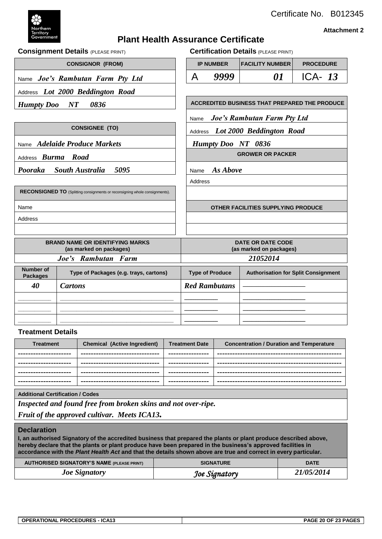

 $CONSIGNOR (FROM)$ 

**RECONSIGNED TO** (Splitting consignments or reconsigning whole consignments).

Name *Joe's Rambutan Farm Pty Ltd* 

Address *Lot 2000 Beddington Road*

Certificate No. B012345

#### **Attachment 2**

# **Plant Health Assurance Certificate**

**Consignment Details** (PLEASE PRINT) **Certification Details** (PLEASE PRINT)

|  | <b>IP NUMBER</b> | <b> FACILITY NUMBER </b> | <b>PROCEDURE</b> |  |  |  |  |
|--|------------------|--------------------------|------------------|--|--|--|--|
|  | 9999             |                          | ICA- $13$        |  |  |  |  |
|  |                  |                          |                  |  |  |  |  |

*Humpty Doo NT 0836*  $\vert$  **ACCREDITED BUSINESS THAT PREPARED THE PRODUCE** 

Name *Joe's Rambutan Farm Pty Ltd*

**CONSIGNEE (TO)** Address *Lot 2000 Beddington Road* 

Name *Adelaide Produce Markets* | Humpty Doo NT 0836

Address *Burma* Road **GROWER OR PACKER** 

*Pooraka South Australia 5095* | Name *As Above* 

Address

Name **OTHER FACILITIES SUPPLYING PRODUCE**

Address

|                                     | <b>BRAND NAME OR IDENTIFYING MARKS</b><br>(as marked on packages) | <b>DATE OR DATE CODE</b><br>(as marked on packages) |                                            |  |  |  |
|-------------------------------------|-------------------------------------------------------------------|-----------------------------------------------------|--------------------------------------------|--|--|--|
|                                     | Joe's Rambutan Farm                                               | 21052014                                            |                                            |  |  |  |
| <b>Number of</b><br><b>Packages</b> | Type of Packages (e.g. trays, cartons)                            | <b>Type of Produce</b>                              | <b>Authorisation for Split Consignment</b> |  |  |  |
| 40                                  | Cartons                                                           | <b>Red Rambutans</b>                                |                                            |  |  |  |
|                                     |                                                                   |                                                     |                                            |  |  |  |
|                                     |                                                                   |                                                     |                                            |  |  |  |
|                                     |                                                                   |                                                     |                                            |  |  |  |

#### **Treatment Details**

| <b>Treatment</b>       | <b>Chemical (Active Ingredient)</b> | <b>Treatment Date</b> | <b>Concentration / Duration and Temperature</b> |
|------------------------|-------------------------------------|-----------------------|-------------------------------------------------|
| ---------------------- | ---------------------------------   | ----------------      |                                                 |
| ------------------     | ------------------------------      | ----------------      |                                                 |
| ---------------------  | --------------------------------    | ----------------      |                                                 |
| ---------------------- | --------------------------------    | ----------------      |                                                 |

**Additional Certification / Codes**

*Inspected and found free from broken skins and not over-ripe.*

*Fruit of the approved cultivar. Meets ICA13.*

#### **Declaration**

**I, an authorised Signatory of the accredited business that prepared the plants or plant produce described above, hereby declare that the plants or plant produce have been prepared in the business's approved facilities in accordance with the** *Plant Health Act* **and that the details shown above are true and correct in every particular.**

| <b>AUTHORISED SIGNATORY'S NAME (PLEASE PRINT)</b> | <b>SIGNATURE</b> | <b>DATE</b> |
|---------------------------------------------------|------------------|-------------|
| <b>Joe Signatory</b>                              | Joe Signatory    | 21/05/2014  |

| <b>OPERATIONAL PROCEDURES - ICA13</b> | PAGE 20 OF 23 PAGES |
|---------------------------------------|---------------------|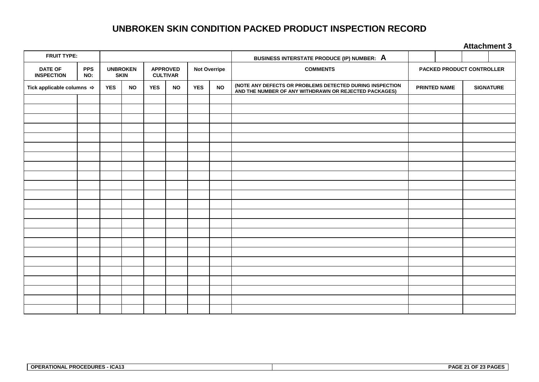# **UNBROKEN SKIN CONDITION PACKED PRODUCT INSPECTION RECORD**

**Attachment 3**

|                                                          |  |                                |           |            |           |                                                           |           |                                                                                                                   | <b>AUGULINIAN A</b> |                                  |                  |  |  |
|----------------------------------------------------------|--|--------------------------------|-----------|------------|-----------|-----------------------------------------------------------|-----------|-------------------------------------------------------------------------------------------------------------------|---------------------|----------------------------------|------------------|--|--|
| <b>FRUIT TYPE:</b>                                       |  |                                |           |            |           |                                                           |           | BUSINESS INTERSTATE PRODUCE (IP) NUMBER: A                                                                        |                     |                                  |                  |  |  |
| <b>DATE OF</b><br><b>PPS</b><br><b>INSPECTION</b><br>NO: |  | <b>UNBROKEN</b><br><b>SKIN</b> |           |            |           | <b>APPROVED</b><br><b>Not Overripe</b><br><b>CULTIVAR</b> |           | <b>COMMENTS</b>                                                                                                   |                     | <b>PACKED PRODUCT CONTROLLER</b> |                  |  |  |
| Tick applicable columns $\Rightarrow$                    |  | <b>YES</b>                     | <b>NO</b> | <b>YES</b> | <b>NO</b> | <b>YES</b>                                                | <b>NO</b> | (NOTE ANY DEFECTS OR PROBLEMS DETECTED DURING INSPECTION<br>AND THE NUMBER OF ANY WITHDRAWN OR REJECTED PACKAGES) | PRINTED NAME        |                                  | <b>SIGNATURE</b> |  |  |
|                                                          |  |                                |           |            |           |                                                           |           |                                                                                                                   |                     |                                  |                  |  |  |
|                                                          |  |                                |           |            |           |                                                           |           |                                                                                                                   |                     |                                  |                  |  |  |
|                                                          |  |                                |           |            |           |                                                           |           |                                                                                                                   |                     |                                  |                  |  |  |
|                                                          |  |                                |           |            |           |                                                           |           |                                                                                                                   |                     |                                  |                  |  |  |
|                                                          |  |                                |           |            |           |                                                           |           |                                                                                                                   |                     |                                  |                  |  |  |
|                                                          |  |                                |           |            |           |                                                           |           |                                                                                                                   |                     |                                  |                  |  |  |
|                                                          |  |                                |           |            |           |                                                           |           |                                                                                                                   |                     |                                  |                  |  |  |
|                                                          |  |                                |           |            |           |                                                           |           |                                                                                                                   |                     |                                  |                  |  |  |
|                                                          |  |                                |           |            |           |                                                           |           |                                                                                                                   |                     |                                  |                  |  |  |
|                                                          |  |                                |           |            |           |                                                           |           |                                                                                                                   |                     |                                  |                  |  |  |
|                                                          |  |                                |           |            |           |                                                           |           |                                                                                                                   |                     |                                  |                  |  |  |
|                                                          |  |                                |           |            |           |                                                           |           |                                                                                                                   |                     |                                  |                  |  |  |
|                                                          |  |                                |           |            |           |                                                           |           |                                                                                                                   |                     |                                  |                  |  |  |
|                                                          |  |                                |           |            |           |                                                           |           |                                                                                                                   |                     |                                  |                  |  |  |
|                                                          |  |                                |           |            |           |                                                           |           |                                                                                                                   |                     |                                  |                  |  |  |
|                                                          |  |                                |           |            |           |                                                           |           |                                                                                                                   |                     |                                  |                  |  |  |
|                                                          |  |                                |           |            |           |                                                           |           |                                                                                                                   |                     |                                  |                  |  |  |
|                                                          |  |                                |           |            |           |                                                           |           |                                                                                                                   |                     |                                  |                  |  |  |
|                                                          |  |                                |           |            |           |                                                           |           |                                                                                                                   |                     |                                  |                  |  |  |
|                                                          |  |                                |           |            |           |                                                           |           |                                                                                                                   |                     |                                  |                  |  |  |
|                                                          |  |                                |           |            |           |                                                           |           |                                                                                                                   |                     |                                  |                  |  |  |
|                                                          |  |                                |           |            |           |                                                           |           |                                                                                                                   |                     |                                  |                  |  |  |
|                                                          |  |                                |           |            |           |                                                           |           |                                                                                                                   |                     |                                  |                  |  |  |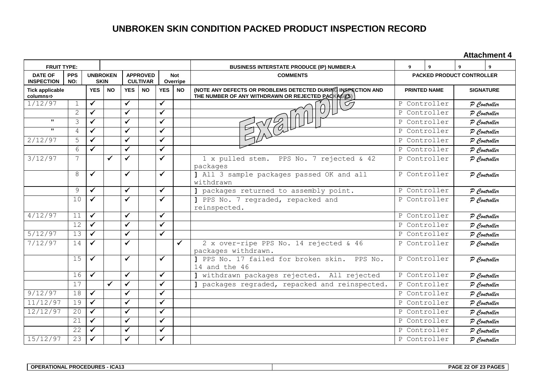# **UNBROKEN SKIN CONDITION PACKED PRODUCT INSPECTION RECORD**

**Attachment 4**

| <b>FRUIT TYPE:</b>                                       |                          |              |                                                                      |              |                        |              |                 | <b>BUSINESS INTERSTATE PRODUCE (IP) NUMBER:A</b>                                                                  | 9                          |                                  | $\boldsymbol{Q}$ |                  |  |              |
|----------------------------------------------------------|--------------------------|--------------|----------------------------------------------------------------------|--------------|------------------------|--------------|-----------------|-------------------------------------------------------------------------------------------------------------------|----------------------------|----------------------------------|------------------|------------------|--|--------------|
| <b>PPS</b><br><b>DATE OF</b><br><b>INSPECTION</b><br>NO: |                          |              | <b>UNBROKEN</b><br><b>APPROVED</b><br><b>SKIN</b><br><b>CULTIVAR</b> |              | <b>Not</b><br>Overripe |              | <b>COMMENTS</b> |                                                                                                                   |                            | <b>PACKED PRODUCT CONTROLLER</b> |                  |                  |  |              |
| <b>Tick applicable</b><br>columns⇒                       |                          | <b>YES</b>   | <b>NO</b>                                                            | <b>YES</b>   | <b>NO</b>              | <b>YES</b>   | <b>NO</b>       | (NOTE ANY DEFECTS OR PROBLEMS DETECTED DURING INSPECTION AND<br>THE NUMBER OF ANY WITHDRAWN OR REJECTED PACKAGES) |                            | <b>PRINTED NAME</b>              |                  | <b>SIGNATURE</b> |  |              |
| 1/12/97                                                  | $\mathbf 1$              | $\checkmark$ |                                                                      | $\checkmark$ |                        | $\checkmark$ |                 |                                                                                                                   | P Controller               |                                  | P Controller     |                  |  |              |
|                                                          | $\mathbf{2}$             | ✓            |                                                                      | $\checkmark$ |                        | $\checkmark$ |                 |                                                                                                                   | P                          | Controller                       | P Controller     |                  |  |              |
| $\mathbf{H}$                                             | $\overline{\mathcal{E}}$ | ✓            |                                                                      | $\checkmark$ |                        | $\checkmark$ |                 |                                                                                                                   | P                          | Controller                       | P Controller     |                  |  |              |
| $\mathbf{H}$                                             | $\overline{4}$           | $\checkmark$ |                                                                      | $\checkmark$ |                        | $\checkmark$ |                 |                                                                                                                   | P                          | Controller                       | P Controller     |                  |  |              |
| 2/12/97                                                  | 5                        | $\checkmark$ |                                                                      | $\checkmark$ |                        | $\checkmark$ |                 |                                                                                                                   | P                          | Controller                       | P Controller     |                  |  |              |
|                                                          | 6                        | $\checkmark$ |                                                                      | $\checkmark$ |                        | $\checkmark$ |                 |                                                                                                                   | P Controller               |                                  | P Controller     |                  |  |              |
| 3/12/97                                                  | 7                        |              | ✓                                                                    | $\checkmark$ |                        | $\checkmark$ |                 | 1 x pulled stem. PPS No. 7 rejected & 42<br>packages                                                              | P Controller               |                                  | P Controller     |                  |  |              |
|                                                          | 8                        | ✓            |                                                                      | $\checkmark$ |                        | ✓            |                 | ] All 3 sample packages passed OK and all<br>withdrawn                                                            |                            | P Controller                     |                  | P Controller     |  |              |
|                                                          | 9                        | ✓            |                                                                      | $\checkmark$ |                        | $\checkmark$ |                 | ] packages returned to assembly point.<br>Controller<br>P                                                         |                            | P Controller                     |                  |                  |  |              |
|                                                          | 10                       | $\checkmark$ |                                                                      | $\checkmark$ |                        | $\checkmark$ |                 | 1 PPS No. 7 regraded, repacked and<br>reinspected.                                                                | P<br>Controller            |                                  | P Controller     |                  |  |              |
| 4/12/97                                                  | 11                       | $\checkmark$ |                                                                      | $\checkmark$ |                        | ✓            |                 |                                                                                                                   | P Controller               |                                  | P Controller     |                  |  |              |
|                                                          | 12                       | $\checkmark$ |                                                                      | ✓            |                        | $\checkmark$ |                 |                                                                                                                   |                            | P Controller                     |                  | P Controller     |  |              |
| 5/12/97                                                  | 13                       | $\mathbf{v}$ |                                                                      | $\checkmark$ |                        | $\checkmark$ |                 |                                                                                                                   | Controller<br>$\mathsf{P}$ |                                  | P Controller     |                  |  |              |
| 7/12/97                                                  | 14                       | $\checkmark$ |                                                                      | $\checkmark$ |                        |              | $\checkmark$    | 2 x over-ripe PPS No. 14 rejected & 46<br>packages withdrawn.                                                     | P                          | Controller                       | P Controller     |                  |  |              |
|                                                          | 15                       | $\checkmark$ |                                                                      | $\checkmark$ |                        | $\checkmark$ |                 | PPS No. 17 failed for broken skin.<br>PPS No.<br>14 and the 46                                                    | P Controller               |                                  | P Controller     |                  |  |              |
|                                                          | 16                       | $\checkmark$ |                                                                      | $\checkmark$ |                        | $\checkmark$ |                 | withdrawn packages rejected. All rejected                                                                         | P Controller               |                                  | P Controller     |                  |  |              |
|                                                          | 17                       |              | ✓                                                                    | $\checkmark$ |                        | $\checkmark$ |                 | ] packages regraded, repacked and reinspected.<br>$\mathbf{P}$                                                    |                            | Controller                       |                  |                  |  | P Controller |
| 9/12/97                                                  | 18                       | $\checkmark$ |                                                                      | ✓            |                        | $\checkmark$ |                 |                                                                                                                   | Controller<br>P            |                                  | P Controller     |                  |  |              |
| 11/12/97                                                 | 19                       | $\checkmark$ |                                                                      | $\checkmark$ |                        | $\checkmark$ |                 |                                                                                                                   | P                          | Controller                       | P Controller     |                  |  |              |
| 12/12/97                                                 | 20                       | $\checkmark$ |                                                                      | $\checkmark$ |                        | $\checkmark$ |                 |                                                                                                                   | P                          | Controller                       | P Controller     |                  |  |              |
|                                                          | 21                       | $\checkmark$ |                                                                      | $\checkmark$ |                        | $\checkmark$ |                 |                                                                                                                   | P Controller               |                                  | P Controller     |                  |  |              |
|                                                          | 22                       | $\checkmark$ |                                                                      | $\checkmark$ |                        | $\checkmark$ |                 | P Controller                                                                                                      |                            |                                  | P Controller     |                  |  |              |
| 15/12/97                                                 | 23                       | $\checkmark$ |                                                                      | $\checkmark$ |                        | $\checkmark$ |                 |                                                                                                                   |                            | P Controller                     |                  | P Controller     |  |              |